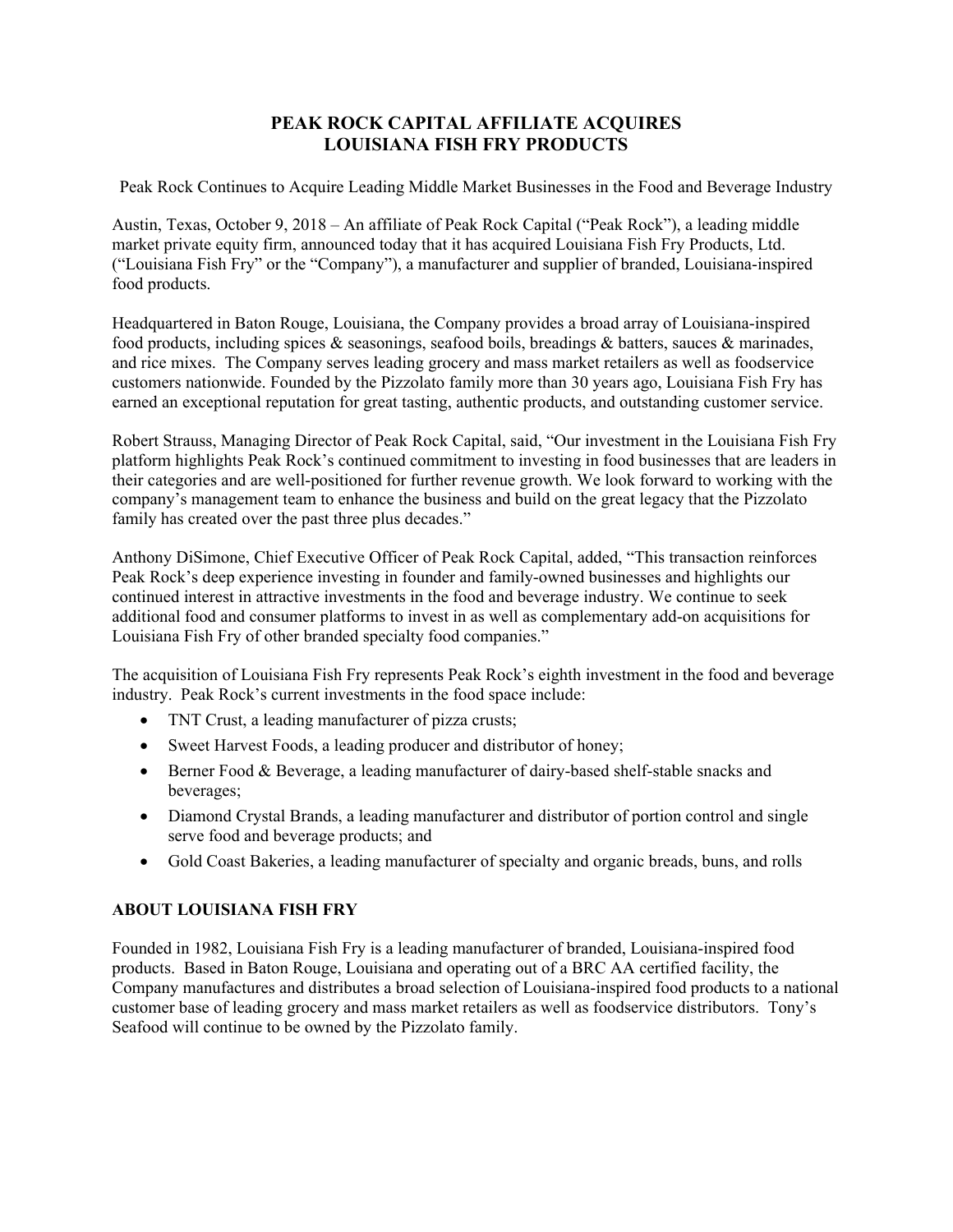## **PEAK ROCK CAPITAL AFFILIATE ACQUIRES LOUISIANA FISH FRY PRODUCTS**

Peak Rock Continues to Acquire Leading Middle Market Businesses in the Food and Beverage Industry

Austin, Texas, October 9, 2018 – An affiliate of Peak Rock Capital ("Peak Rock"), a leading middle market private equity firm, announced today that it has acquired Louisiana Fish Fry Products, Ltd. ("Louisiana Fish Fry" or the "Company"), a manufacturer and supplier of branded, Louisiana-inspired food products.

Headquartered in Baton Rouge, Louisiana, the Company provides a broad array of Louisiana-inspired food products, including spices & seasonings, seafood boils, breadings & batters, sauces & marinades, and rice mixes. The Company serves leading grocery and mass market retailers as well as foodservice customers nationwide. Founded by the Pizzolato family more than 30 years ago, Louisiana Fish Fry has earned an exceptional reputation for great tasting, authentic products, and outstanding customer service.

Robert Strauss, Managing Director of Peak Rock Capital, said, "Our investment in the Louisiana Fish Fry platform highlights Peak Rock's continued commitment to investing in food businesses that are leaders in their categories and are well-positioned for further revenue growth. We look forward to working with the company's management team to enhance the business and build on the great legacy that the Pizzolato family has created over the past three plus decades."

Anthony DiSimone, Chief Executive Officer of Peak Rock Capital, added, "This transaction reinforces Peak Rock's deep experience investing in founder and family-owned businesses and highlights our continued interest in attractive investments in the food and beverage industry. We continue to seek additional food and consumer platforms to invest in as well as complementary add-on acquisitions for Louisiana Fish Fry of other branded specialty food companies."

The acquisition of Louisiana Fish Fry represents Peak Rock's eighth investment in the food and beverage industry. Peak Rock's current investments in the food space include:

- TNT Crust, a leading manufacturer of pizza crusts;
- Sweet Harvest Foods, a leading producer and distributor of honey;
- Berner Food & Beverage, a leading manufacturer of dairy-based shelf-stable snacks and beverages;
- Diamond Crystal Brands, a leading manufacturer and distributor of portion control and single serve food and beverage products; and
- Gold Coast Bakeries, a leading manufacturer of specialty and organic breads, buns, and rolls

## **ABOUT LOUISIANA FISH FRY**

Founded in 1982, Louisiana Fish Fry is a leading manufacturer of branded, Louisiana-inspired food products. Based in Baton Rouge, Louisiana and operating out of a BRC AA certified facility, the Company manufactures and distributes a broad selection of Louisiana-inspired food products to a national customer base of leading grocery and mass market retailers as well as foodservice distributors. Tony's Seafood will continue to be owned by the Pizzolato family.